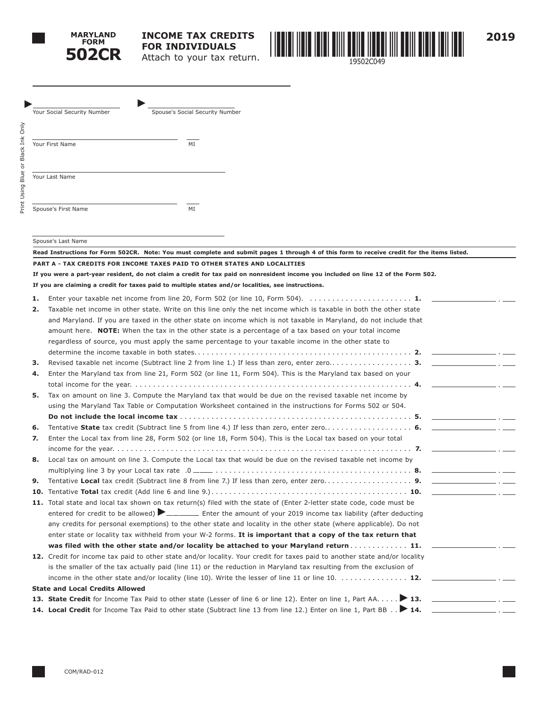



**2019**

→<br>Your Social Security Number Spouse's Social Security Number Your First Name MI Your Last Name Spouse's First Name MI

Spouse's Last Name

| Read Instructions for Form 502CR. Note: You must complete and submit pages 1 through 4 of this form to receive credit for the items listed. |                                                                                                                                     |  |  |
|---------------------------------------------------------------------------------------------------------------------------------------------|-------------------------------------------------------------------------------------------------------------------------------------|--|--|
|                                                                                                                                             | PART A - TAX CREDITS FOR INCOME TAXES PAID TO OTHER STATES AND LOCALITIES                                                           |  |  |
|                                                                                                                                             | If you were a part-year resident, do not claim a credit for tax paid on nonresident income you included on line 12 of the Form 502. |  |  |
|                                                                                                                                             | If you are claiming a credit for taxes paid to multiple states and/or localities, see instructions.                                 |  |  |
| 1.                                                                                                                                          | Enter your taxable net income from line 20, Form 502 (or line 10, Form 504). $\ldots \ldots \ldots \ldots \ldots \ldots$            |  |  |
| 2.                                                                                                                                          | Taxable net income in other state. Write on this line only the net income which is taxable in both the other state                  |  |  |
|                                                                                                                                             | and Maryland. If you are taxed in the other state on income which is not taxable in Maryland, do not include that                   |  |  |
|                                                                                                                                             | amount here. NOTE: When the tax in the other state is a percentage of a tax based on your total income                              |  |  |
|                                                                                                                                             | regardless of source, you must apply the same percentage to your taxable income in the other state to                               |  |  |
|                                                                                                                                             |                                                                                                                                     |  |  |
| з.                                                                                                                                          |                                                                                                                                     |  |  |
| 4.                                                                                                                                          | Enter the Maryland tax from line 21, Form 502 (or line 11, Form 504). This is the Maryland tax based on your                        |  |  |
|                                                                                                                                             |                                                                                                                                     |  |  |
| 5.                                                                                                                                          | Tax on amount on line 3. Compute the Maryland tax that would be due on the revised taxable net income by                            |  |  |
|                                                                                                                                             | using the Maryland Tax Table or Computation Worksheet contained in the instructions for Forms 502 or 504.                           |  |  |
|                                                                                                                                             |                                                                                                                                     |  |  |
| 6.                                                                                                                                          |                                                                                                                                     |  |  |
| 7.                                                                                                                                          | Enter the Local tax from line 28, Form 502 (or line 18, Form 504). This is the Local tax based on your total                        |  |  |
|                                                                                                                                             |                                                                                                                                     |  |  |
| 8.                                                                                                                                          | Local tax on amount on line 3. Compute the Local tax that would be due on the revised taxable net income by                         |  |  |
|                                                                                                                                             |                                                                                                                                     |  |  |
| 9.                                                                                                                                          | the company of the company of the                                                                                                   |  |  |
| 10.                                                                                                                                         | 이 사이 시간이 있는 것이 아니다. 이 사이 사이 사이                                                                                                      |  |  |
|                                                                                                                                             | 11. Total state and local tax shown on tax return(s) filed with the state of (Enter 2-letter state code, code must be               |  |  |
|                                                                                                                                             | entered for credit to be allowed) <b>Denote and Enter the amount of your 2019</b> income tax liability (after deducting             |  |  |
|                                                                                                                                             | any credits for personal exemptions) to the other state and locality in the other state (where applicable). Do not                  |  |  |
|                                                                                                                                             | enter state or locality tax withheld from your W-2 forms. It is important that a copy of the tax return that                        |  |  |
|                                                                                                                                             | was filed with the other state and/or locality be attached to your Maryland return 11.                                              |  |  |
|                                                                                                                                             | 12. Credit for income tax paid to other state and/or locality. Your credit for taxes paid to another state and/or locality          |  |  |
|                                                                                                                                             | is the smaller of the tax actually paid (line 11) or the reduction in Maryland tax resulting from the exclusion of                  |  |  |
|                                                                                                                                             | income in the other state and/or locality (line 10). Write the lesser of line 11 or line 10. $\dots\dots\dots\dots$                 |  |  |
|                                                                                                                                             | <b>State and Local Credits Allowed</b>                                                                                              |  |  |
|                                                                                                                                             | 13. State Credit for Income Tax Paid to other state (Lesser of line 6 or line 12). Enter on line 1, Part AA > 13.                   |  |  |
|                                                                                                                                             | 14. Local Credit for Income Tax Paid to other state (Subtract line 13 from line 12.) Enter on line 1, Part BB > 14.                 |  |  |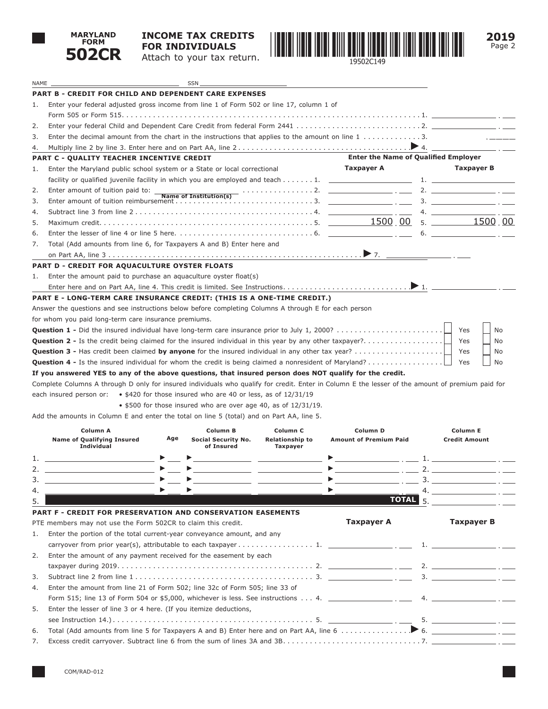

## **INCOME TAX CREDITS FOR INDIVIDUALS** Attach to your tax return.



|    | 502CR                                                                                                                                                                                                                                                                                                                                                                                                                                                    |     | Attach to your tax return.                                             |                                                                                                                       | 19502C149                                                                                                                                                                                                                                                                                                          |                                                                                                                                               |
|----|----------------------------------------------------------------------------------------------------------------------------------------------------------------------------------------------------------------------------------------------------------------------------------------------------------------------------------------------------------------------------------------------------------------------------------------------------------|-----|------------------------------------------------------------------------|-----------------------------------------------------------------------------------------------------------------------|--------------------------------------------------------------------------------------------------------------------------------------------------------------------------------------------------------------------------------------------------------------------------------------------------------------------|-----------------------------------------------------------------------------------------------------------------------------------------------|
|    |                                                                                                                                                                                                                                                                                                                                                                                                                                                          |     |                                                                        |                                                                                                                       |                                                                                                                                                                                                                                                                                                                    |                                                                                                                                               |
|    | NAME __<br><b>PART B - CREDIT FOR CHILD AND DEPENDENT CARE EXPENSES</b>                                                                                                                                                                                                                                                                                                                                                                                  |     |                                                                        | <u> 1989 - Johann Harry Barn, mars and de Branch and de Branch and de Branch and de Branch and de Branch and de B</u> |                                                                                                                                                                                                                                                                                                                    |                                                                                                                                               |
| 1. | Enter your federal adjusted gross income from line 1 of Form 502 or line 17, column 1 of                                                                                                                                                                                                                                                                                                                                                                 |     |                                                                        |                                                                                                                       |                                                                                                                                                                                                                                                                                                                    |                                                                                                                                               |
|    |                                                                                                                                                                                                                                                                                                                                                                                                                                                          |     |                                                                        |                                                                                                                       |                                                                                                                                                                                                                                                                                                                    |                                                                                                                                               |
| 2. |                                                                                                                                                                                                                                                                                                                                                                                                                                                          |     |                                                                        |                                                                                                                       |                                                                                                                                                                                                                                                                                                                    |                                                                                                                                               |
| 3. | Enter the decimal amount from the chart in the instructions that applies to the amount on line $1, \ldots, \ldots, 3$ .                                                                                                                                                                                                                                                                                                                                  |     |                                                                        |                                                                                                                       |                                                                                                                                                                                                                                                                                                                    |                                                                                                                                               |
| 4. |                                                                                                                                                                                                                                                                                                                                                                                                                                                          |     |                                                                        |                                                                                                                       |                                                                                                                                                                                                                                                                                                                    |                                                                                                                                               |
|    | PART C - QUALITY TEACHER INCENTIVE CREDIT                                                                                                                                                                                                                                                                                                                                                                                                                |     |                                                                        |                                                                                                                       | <b>Enter the Name of Qualified Employer</b>                                                                                                                                                                                                                                                                        |                                                                                                                                               |
| 1. | Enter the Maryland public school system or a State or local correctional                                                                                                                                                                                                                                                                                                                                                                                 |     |                                                                        |                                                                                                                       | <b>Taxpayer A</b>                                                                                                                                                                                                                                                                                                  | Taxpayer B                                                                                                                                    |
|    | facility or qualified juvenile facility in which you are employed and teach $\dots \dots 1$ .                                                                                                                                                                                                                                                                                                                                                            |     |                                                                        |                                                                                                                       |                                                                                                                                                                                                                                                                                                                    |                                                                                                                                               |
| 2. | Enter amount of tuition paid to: _                                                                                                                                                                                                                                                                                                                                                                                                                       |     |                                                                        |                                                                                                                       | Name of Institution(s) contains the contract of $\overline{S}$ and $\overline{S}$ and $\overline{S}$ and $\overline{S}$ and $\overline{S}$ and $\overline{S}$ and $\overline{S}$ and $\overline{S}$ and $\overline{S}$ and $\overline{S}$ and $\overline{S}$ and $\overline{S}$ and $\overline{S}$ and $\overline$ |                                                                                                                                               |
| 3. |                                                                                                                                                                                                                                                                                                                                                                                                                                                          |     |                                                                        |                                                                                                                       |                                                                                                                                                                                                                                                                                                                    |                                                                                                                                               |
| 4. |                                                                                                                                                                                                                                                                                                                                                                                                                                                          |     |                                                                        |                                                                                                                       |                                                                                                                                                                                                                                                                                                                    | $\overline{4.}$ $\overline{2.}$                                                                                                               |
| 5. |                                                                                                                                                                                                                                                                                                                                                                                                                                                          |     |                                                                        |                                                                                                                       |                                                                                                                                                                                                                                                                                                                    | $5. \underline{\hspace{1.5cm}1500}$ , 00                                                                                                      |
| 6. |                                                                                                                                                                                                                                                                                                                                                                                                                                                          |     |                                                                        |                                                                                                                       |                                                                                                                                                                                                                                                                                                                    | 6.                                                                                                                                            |
| 7. | Total (Add amounts from line 6, for Taxpayers A and B) Enter here and                                                                                                                                                                                                                                                                                                                                                                                    |     |                                                                        |                                                                                                                       |                                                                                                                                                                                                                                                                                                                    |                                                                                                                                               |
|    |                                                                                                                                                                                                                                                                                                                                                                                                                                                          |     |                                                                        |                                                                                                                       |                                                                                                                                                                                                                                                                                                                    |                                                                                                                                               |
|    | PART D - CREDIT FOR AQUACULTURE OYSTER FLOATS                                                                                                                                                                                                                                                                                                                                                                                                            |     |                                                                        |                                                                                                                       |                                                                                                                                                                                                                                                                                                                    |                                                                                                                                               |
| 1. | Enter the amount paid to purchase an aquaculture oyster float(s)                                                                                                                                                                                                                                                                                                                                                                                         |     |                                                                        |                                                                                                                       |                                                                                                                                                                                                                                                                                                                    |                                                                                                                                               |
|    |                                                                                                                                                                                                                                                                                                                                                                                                                                                          |     |                                                                        |                                                                                                                       |                                                                                                                                                                                                                                                                                                                    |                                                                                                                                               |
|    | PART E - LONG-TERM CARE INSURANCE CREDIT: (THIS IS A ONE-TIME CREDIT.)                                                                                                                                                                                                                                                                                                                                                                                   |     |                                                                        |                                                                                                                       |                                                                                                                                                                                                                                                                                                                    |                                                                                                                                               |
|    | Answer the questions and see instructions below before completing Columns A through E for each person                                                                                                                                                                                                                                                                                                                                                    |     |                                                                        |                                                                                                                       |                                                                                                                                                                                                                                                                                                                    |                                                                                                                                               |
|    | for whom you paid long-term care insurance premiums.                                                                                                                                                                                                                                                                                                                                                                                                     |     |                                                                        |                                                                                                                       |                                                                                                                                                                                                                                                                                                                    |                                                                                                                                               |
|    | If you answered YES to any of the above questions, that insured person does NOT qualify for the credit.<br>Complete Columns A through D only for insured individuals who qualify for credit. Enter in Column E the lesser of the amount of premium paid for<br>each insured person or: $\bullet$ \$420 for those insured who are 40 or less, as of 12/31/19<br>Add the amounts in Column E and enter the total on line 5 (total) and on Part AA, line 5. |     | $\bullet$ \$500 for those insured who are over age 40, as of 12/31/19. |                                                                                                                       |                                                                                                                                                                                                                                                                                                                    | Yes<br>No                                                                                                                                     |
|    |                                                                                                                                                                                                                                                                                                                                                                                                                                                          |     |                                                                        |                                                                                                                       |                                                                                                                                                                                                                                                                                                                    |                                                                                                                                               |
|    | Column A<br><b>Name of Qualifying Insured</b><br><b>Individual</b>                                                                                                                                                                                                                                                                                                                                                                                       | Age | Column B<br><b>Social Security No.</b><br>of Insured                   | Column C<br><b>Relationship to</b><br>Taxpayer                                                                        | Column D<br><b>Amount of Premium Paid</b>                                                                                                                                                                                                                                                                          | Column E<br><b>Credit Amount</b>                                                                                                              |
| 1. |                                                                                                                                                                                                                                                                                                                                                                                                                                                          |     |                                                                        |                                                                                                                       |                                                                                                                                                                                                                                                                                                                    | , where the contract of $\mathbf{1}$ , $\mathbf{1}$ , $\mathbf{1}$ , $\mathbf{1}$ , $\mathbf{1}$ , $\mathbf{1}$ , $\mathbf{1}$ , $\mathbf{1}$ |
| 2. |                                                                                                                                                                                                                                                                                                                                                                                                                                                          |     | $\blacktriangleright \underbrace{\hspace{2.5cm}}$                      |                                                                                                                       | $\blacktriangleright$ $\ldots$ $\ldots$ $\ldots$                                                                                                                                                                                                                                                                   |                                                                                                                                               |
| 3. |                                                                                                                                                                                                                                                                                                                                                                                                                                                          |     |                                                                        |                                                                                                                       |                                                                                                                                                                                                                                                                                                                    |                                                                                                                                               |
| 4. |                                                                                                                                                                                                                                                                                                                                                                                                                                                          |     |                                                                        |                                                                                                                       |                                                                                                                                                                                                                                                                                                                    |                                                                                                                                               |
| 5. |                                                                                                                                                                                                                                                                                                                                                                                                                                                          |     |                                                                        |                                                                                                                       | <b>TOTAL</b> 5.                                                                                                                                                                                                                                                                                                    |                                                                                                                                               |
|    | PART F - CREDIT FOR PRESERVATION AND CONSERVATION EASEMENTS                                                                                                                                                                                                                                                                                                                                                                                              |     |                                                                        |                                                                                                                       |                                                                                                                                                                                                                                                                                                                    |                                                                                                                                               |
|    | PTE members may not use the Form 502CR to claim this credit.                                                                                                                                                                                                                                                                                                                                                                                             |     |                                                                        |                                                                                                                       | <b>Taxpayer A</b>                                                                                                                                                                                                                                                                                                  | <b>Taxpayer B</b>                                                                                                                             |
| 1. | Enter the portion of the total current-year conveyance amount, and any                                                                                                                                                                                                                                                                                                                                                                                   |     |                                                                        |                                                                                                                       |                                                                                                                                                                                                                                                                                                                    |                                                                                                                                               |
|    | carryover from prior year(s), attributable to each taxpayer $\dots \dots \dots \dots \dots$ 1.                                                                                                                                                                                                                                                                                                                                                           |     |                                                                        |                                                                                                                       |                                                                                                                                                                                                                                                                                                                    |                                                                                                                                               |
| 2. | Enter the amount of any payment received for the easement by each                                                                                                                                                                                                                                                                                                                                                                                        |     |                                                                        |                                                                                                                       |                                                                                                                                                                                                                                                                                                                    |                                                                                                                                               |
|    |                                                                                                                                                                                                                                                                                                                                                                                                                                                          |     |                                                                        |                                                                                                                       |                                                                                                                                                                                                                                                                                                                    |                                                                                                                                               |
| 3. | Subtract line 2 from line $1, \ldots, \ldots, \ldots, \ldots, \ldots, \ldots, \ldots, \ldots, \ldots, 3.$ $\qquad \qquad \ldots \qquad \ldots \qquad \ldots$                                                                                                                                                                                                                                                                                             |     |                                                                        |                                                                                                                       |                                                                                                                                                                                                                                                                                                                    | $\overline{\mathbf{3.}}$                                                                                                                      |
| 4. | Enter the amount from line 21 of Form 502; line 32c of Form 505; line 33 of                                                                                                                                                                                                                                                                                                                                                                              |     |                                                                        |                                                                                                                       |                                                                                                                                                                                                                                                                                                                    |                                                                                                                                               |
|    |                                                                                                                                                                                                                                                                                                                                                                                                                                                          |     |                                                                        |                                                                                                                       |                                                                                                                                                                                                                                                                                                                    |                                                                                                                                               |
| 5. | Enter the lesser of line 3 or 4 here. (If you itemize deductions,                                                                                                                                                                                                                                                                                                                                                                                        |     |                                                                        |                                                                                                                       |                                                                                                                                                                                                                                                                                                                    |                                                                                                                                               |
|    |                                                                                                                                                                                                                                                                                                                                                                                                                                                          |     |                                                                        |                                                                                                                       |                                                                                                                                                                                                                                                                                                                    |                                                                                                                                               |
| 6. |                                                                                                                                                                                                                                                                                                                                                                                                                                                          |     |                                                                        |                                                                                                                       |                                                                                                                                                                                                                                                                                                                    |                                                                                                                                               |
| 7. |                                                                                                                                                                                                                                                                                                                                                                                                                                                          |     |                                                                        |                                                                                                                       |                                                                                                                                                                                                                                                                                                                    |                                                                                                                                               |

**2019**

Page 2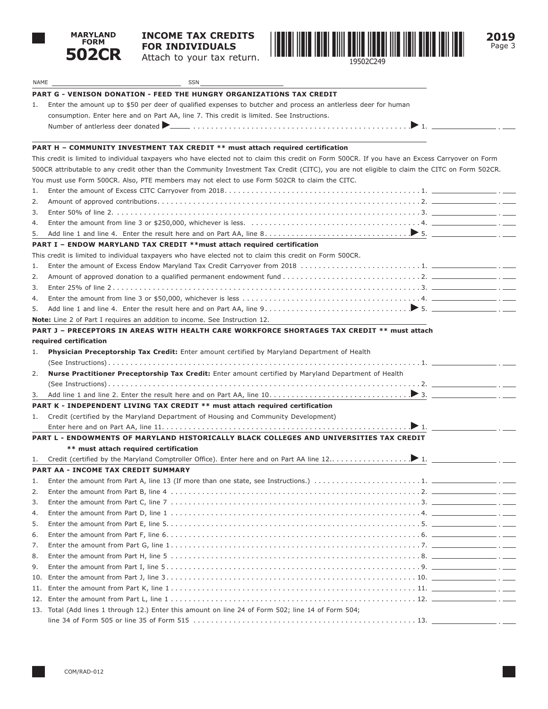

# **INCOME TAX CREDITS FOR INDIVIDUALS**

Attach to your tax return.





| NAME | SSN                                                                                                                                             |
|------|-------------------------------------------------------------------------------------------------------------------------------------------------|
|      | PART G - VENISON DONATION - FEED THE HUNGRY ORGANIZATIONS TAX CREDIT                                                                            |
| 1.   | Enter the amount up to \$50 per deer of qualified expenses to butcher and process an antierless deer for human                                  |
|      | consumption. Enter here and on Part AA, line 7. This credit is limited. See Instructions.                                                       |
|      |                                                                                                                                                 |
|      | PART H - COMMUNITY INVESTMENT TAX CREDIT ** must attach required certification                                                                  |
|      | This credit is limited to individual taxpayers who have elected not to claim this credit on Form 500CR. If you have an Excess Carryover on Form |
|      | 500CR attributable to any credit other than the Community Investment Tax Credit (CITC), you are not eligible to claim the CITC on Form 502CR.   |
|      | You must use Form 500CR. Also, PTE members may not elect to use Form 502CR to claim the CITC.                                                   |
| 1.   |                                                                                                                                                 |
| 2.   |                                                                                                                                                 |
| 3.   |                                                                                                                                                 |
| 4.   |                                                                                                                                                 |
| 5.   |                                                                                                                                                 |
|      | PART I - ENDOW MARYLAND TAX CREDIT **must attach required certification                                                                         |
|      | This credit is limited to individual taxpayers who have elected not to claim this credit on Form 500CR.                                         |
| 1.   |                                                                                                                                                 |
| 2.   |                                                                                                                                                 |
| 3.   |                                                                                                                                                 |
| 4.   |                                                                                                                                                 |
| 5.   |                                                                                                                                                 |
|      | <b>Note:</b> Line 2 of Part I requires an addition to income. See Instruction 12.                                                               |
|      | PART J – PRECEPTORS IN AREAS WITH HEALTH CARE WORKFORCE SHORTAGES TAX CREDIT ** must attach                                                     |
|      | required certification                                                                                                                          |
| 1.   | Physician Preceptorship Tax Credit: Enter amount certified by Maryland Department of Health                                                     |
|      |                                                                                                                                                 |
| 2.   | Nurse Practitioner Preceptorship Tax Credit: Enter amount certified by Maryland Department of Health                                            |
|      |                                                                                                                                                 |
| 3.   |                                                                                                                                                 |
|      | PART K - INDEPENDENT LIVING TAX CREDIT ** must attach required certification                                                                    |
| 1.   | Credit (certified by the Maryland Department of Housing and Community Development)                                                              |
|      | PART L - ENDOWMENTS OF MARYLAND HISTORICALLY BLACK COLLEGES AND UNIVERSITIES TAX CREDIT                                                         |
|      | ** must attach required certification                                                                                                           |
| 1.   |                                                                                                                                                 |
|      | PART AA - INCOME TAX CREDIT SUMMARY                                                                                                             |
| 1.   | Enter the amount from Part A, line 13 (If more than one state, see Instructions.) $\ldots \ldots \ldots \ldots \ldots \ldots \ldots \ldots$     |
| 2.   |                                                                                                                                                 |
| 3.   |                                                                                                                                                 |
| 4.   |                                                                                                                                                 |
| 5.   |                                                                                                                                                 |
| 6.   |                                                                                                                                                 |
| 7.   |                                                                                                                                                 |
| 8.   |                                                                                                                                                 |
| 9.   |                                                                                                                                                 |
| 10.  |                                                                                                                                                 |
| 11.  |                                                                                                                                                 |
| 12.  |                                                                                                                                                 |
|      | 13. Total (Add lines 1 through 12.) Enter this amount on line 24 of Form 502; line 14 of Form 504;                                              |
|      | $- \cdot -$                                                                                                                                     |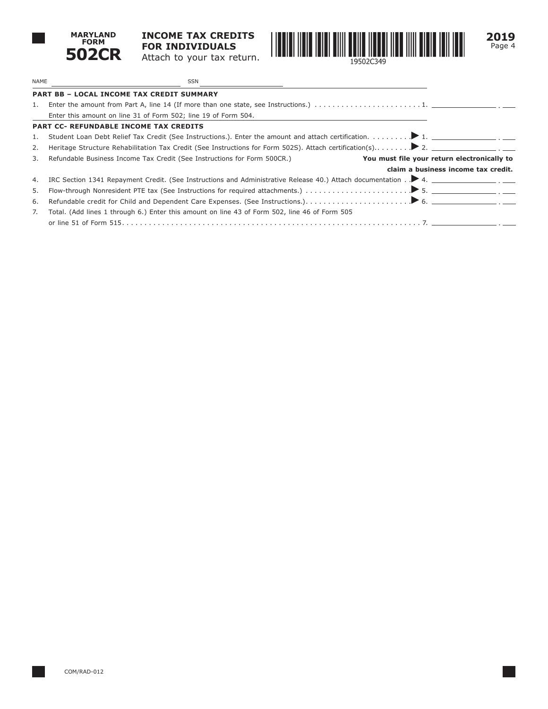

**INCOME TAX CREDITS FOR INDIVIDUALS** Attach to your tax return.



**2019** Page 4

| NAME | SSN                                                                                                                     |
|------|-------------------------------------------------------------------------------------------------------------------------|
|      | <b>PART BB - LOCAL INCOME TAX CREDIT SUMMARY</b>                                                                        |
| 1.   |                                                                                                                         |
|      | Enter this amount on line 31 of Form 502; line 19 of Form 504.                                                          |
|      | <b>PART CC- REFUNDABLE INCOME TAX CREDITS</b>                                                                           |
| 1.   |                                                                                                                         |
| 2.   |                                                                                                                         |
| 3.   | Refundable Business Income Tax Credit (See Instructions for Form 500CR.)<br>You must file your return electronically to |
|      | claim a business income tax credit.                                                                                     |
| 4.   | IRC Section 1341 Repayment Credit. (See Instructions and Administrative Release 40.) Attach documentation . 14.         |
| 5.   |                                                                                                                         |
| 6.   |                                                                                                                         |
| 7.   | Total. (Add lines 1 through 6.) Enter this amount on line 43 of Form 502, line 46 of Form 505                           |
|      |                                                                                                                         |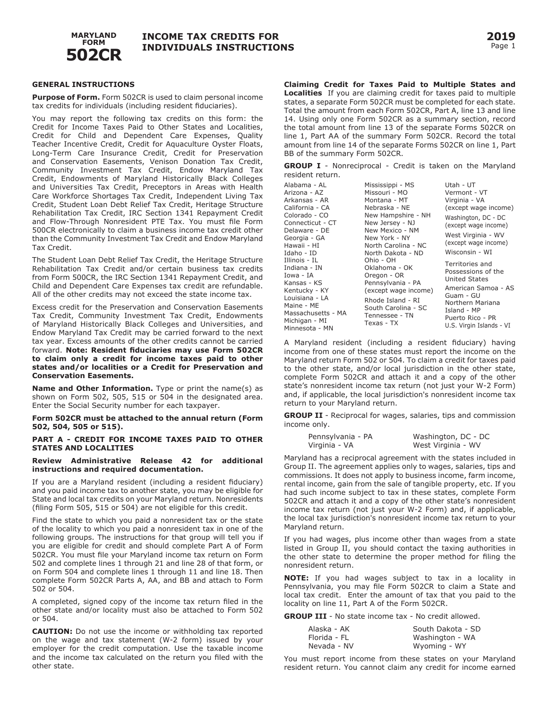

#### **GENERAL INSTRUCTIONS**

**Purpose of Form.** Form 502CR is used to claim personal income tax credits for individuals (including resident fiduciaries).

You may report the following tax credits on this form: the Credit for Income Taxes Paid to Other States and Localities, Credit for Child and Dependent Care Expenses, Quality Teacher Incentive Credit, Credit for Aquaculture Oyster Floats, Long-Term Care Insurance Credit, Credit for Preservation and Conservation Easements, Venison Donation Tax Credit, Community Investment Tax Credit, Endow Maryland Tax Credit, Endowments of Maryland Historically Black Colleges and Universities Tax Credit, Preceptors in Areas with Health Care Workforce Shortages Tax Credit, Independent Living Tax Credit, Student Loan Debt Relief Tax Credit, Heritage Structure Rehabilitation Tax Credit, IRC Section 1341 Repayment Credit and Flow-Through Nonresident PTE Tax. You must file Form 500CR electronically to claim a business income tax credit other than the Community Investment Tax Credit and Endow Maryland Tax Credit.

The Student Loan Debt Relief Tax Credit, the Heritage Structure Rehabilitation Tax Credit and/or certain business tax credits from Form 500CR, the IRC Section 1341 Repayment Credit, and Child and Dependent Care Expenses tax credit are refundable. All of the other credits may not exceed the state income tax.

Excess credit for the Preservation and Conservation Easements Tax Credit, Community Investment Tax Credit, Endowments of Maryland Historically Black Colleges and Universities, and Endow Maryland Tax Credit may be carried forward to the next tax year. Excess amounts of the other credits cannot be carried forward. **Note: Resident fiduciaries may use Form 502CR to claim only a credit for income taxes paid to other states and/or localities or a Credit for Preservation and Conservation Easements.** 

**Name and Other Information.** Type or print the name(s) as shown on Form 502, 505, 515 or 504 in the designated area. Enter the Social Security number for each taxpayer.

**Form 502CR must be attached to the annual return (Form 502, 504, 505 or 515).** 

#### **PART A - CREDIT FOR INCOME TAXES PAID TO OTHER STATES AND LOCALITIES**

#### **Review Administrative Release 42 for additional instructions and required documentation.**

If you are a Maryland resident (including a resident fiduciary) and you paid income tax to another state, you may be eligible for State and local tax credits on your Maryland return. Nonresidents (filing Form 505, 515 or 504) are not eligible for this credit.

Find the state to which you paid a nonresident tax or the state of the locality to which you paid a nonresident tax in one of the following groups. The instructions for that group will tell you if you are eligible for credit and should complete Part A of Form 502CR. You must file your Maryland income tax return on Form 502 and complete lines 1 through 21 and line 28 of that form, or on Form 504 and complete lines 1 through 11 and line 18. Then complete Form 502CR Parts A, AA, and BB and attach to Form 502 or 504.

A completed, signed copy of the income tax return filed in the other state and/or locality must also be attached to Form 502 or 504.

**CAUTION:** Do not use the income or withholding tax reported on the wage and tax statement (W-2 form) issued by your employer for the credit computation. Use the taxable income and the income tax calculated on the return you filed with the other state.

**Claiming Credit for Taxes Paid to Multiple States and Localities** If you are claiming credit for taxes paid to multiple states, a separate Form 502CR must be completed for each state. Total the amount from each Form 502CR, Part A, line 13 and line 14. Using only one Form 502CR as a summary section, record the total amount from line 13 of the separate Forms 502CR on line 1, Part AA of the summary Form 502CR. Record the total amount from line 14 of the separate Forms 502CR on line 1, Part BB of the summary Form 502CR.

**GROUP I** - Nonreciprocal - Credit is taken on the Maryland resident return.

| Alabama - AL<br>Arizona - AZ | Mississippi - MS<br>Missouri - MO         | Utah - UT<br>Vermont - VT                  |  |
|------------------------------|-------------------------------------------|--------------------------------------------|--|
| Arkansas - AR                | Montana - MT                              | Virginia - VA                              |  |
| California - CA              | Nebraska - NE                             | (except wage income)                       |  |
| Colorado - CO                | New Hampshire - NH                        | Washington, DC - DC                        |  |
| Connecticut - CT             | New Jersey - NJ                           | (except wage income)                       |  |
| Delaware - DE                | New Mexico - NM                           | West Virginia - WV<br>(except wage income) |  |
| Georgia - GA                 | New York - NY                             |                                            |  |
| Hawaii - HI                  | North Carolina - NC                       |                                            |  |
| Idaho - ID                   | North Dakota - ND                         | Wisconsin - WI                             |  |
| Illinois - IL                | Ohio - OH                                 | Territories and                            |  |
| Indiana - IN                 | Oklahoma - OK                             |                                            |  |
| Iowa - IA                    | Oregon - OR                               | Possessions of the<br><b>United States</b> |  |
| Kansas - KS                  | Pennsylvania - PA<br>(except wage income) |                                            |  |
| Kentucky - KY                |                                           | American Samoa - AS                        |  |
| Louisiana - LA               | Rhode Island - RI                         | Guam - GU                                  |  |
| Maine - ME                   | South Carolina - SC<br>Tennessee - TN     | Northern Mariana                           |  |
| Massachusetts - MA           |                                           | Island - MP                                |  |
| Michigan - MI                | Texas - TX                                | Puerto Rico - PR                           |  |
| Minnesota - MN               |                                           | U.S. Virgin Islands - VI                   |  |

A Maryland resident (including a resident fiduciary) having income from one of these states must report the income on the Maryland return Form 502 or 504. To claim a credit for taxes paid to the other state, and/or local jurisdiction in the other state, complete Form 502CR and attach it and a copy of the other state's nonresident income tax return (not just your W-2 Form) and, if applicable, the local jurisdiction's nonresident income tax return to your Maryland return.

**GROUP II** - Reciprocal for wages, salaries, tips and commission income only.

| Pennsylvania - PA | Washington, DC - DC |
|-------------------|---------------------|
| Virginia - VA     | West Virginia - WV  |

Maryland has a reciprocal agreement with the states included in Group II. The agreement applies only to wages, salaries, tips and commissions. It does not apply to business income, farm income, rental income, gain from the sale of tangible property, etc. If you had such income subject to tax in these states, complete Form 502CR and attach it and a copy of the other state's nonresident income tax return (not just your W-2 Form) and, if applicable, the local tax jurisdiction's nonresident income tax return to your Maryland return.

If you had wages, plus income other than wages from a state listed in Group II, you should contact the taxing authorities in the other state to determine the proper method for filing the nonresident return.

 local tax credit. Enter the amount of tax that you paid to the **NOTE:** If you had wages subject to tax in a locality in Pennsylvania, you may file Form 502CR to claim a State and locality on line 11, Part A of the Form 502CR.

**GROUP III** - No state income tax - No credit allowed.

| Alaska - AK  | South Dakota - SD |
|--------------|-------------------|
| Florida - FL | Washington - WA   |
| Nevada - NV  | Wyoming - WY      |

You must report income from these states on your Maryland resident return. You cannot claim any credit for income earned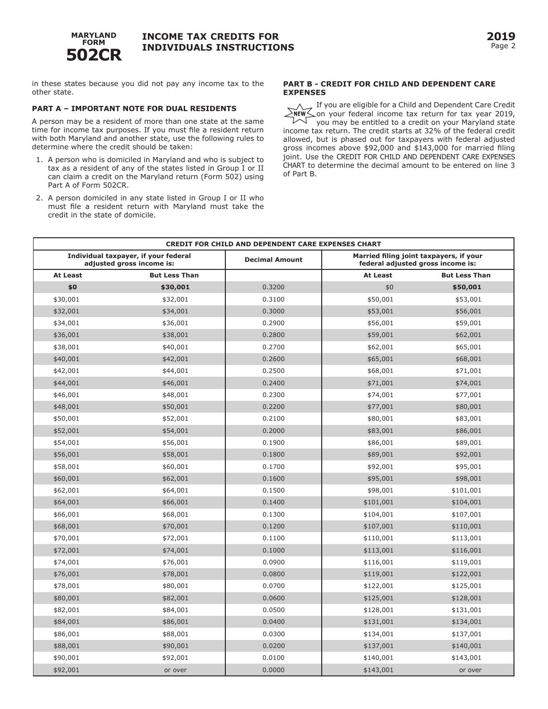

in these states because you did not pay any income tax to the other state.

### **PART A – IMPORTANT NOTE FOR DUAL RESIDENTS**

 time for income tax purposes. If you must file a resident return A person may be a resident of more than one state at the same with both Maryland and another state, use the following rules to determine where the credit should be taken:

- 1. A person who is domiciled in Maryland and who is subject to tax as a resident of any of the states listed in Group I or II can claim a credit on the Maryland return (Form 502) using Part A of Form 502CR.
- 2. A person domiciled in any state listed in Group I or II who must file a resident return with Maryland must take the credit in the state of domicile.

### **PART B - CREDIT FOR CHILD AND DEPENDENT CARE EXPENSES**

If you are eligible for a Child and Dependent Care Credit on your federal income tax return for tax year 2019,

you may be entitled to a credit on your Maryland state income tax return. The credit starts at 32% of the federal credit allowed, but is phased out for taxpayers with federal adjusted gross incomes above \$92,000 and \$143,000 for married filing joint. Use the CREDIT FOR CHILD AND DEPENDENT CARE EXPENSES CHART to determine the decimal amount to be entered on line 3 of Part B.

| <b>CREDIT FOR CHILD AND DEPENDENT CARE EXPENSES CHART</b>         |                      |                       |                                                                              |                      |
|-------------------------------------------------------------------|----------------------|-----------------------|------------------------------------------------------------------------------|----------------------|
| Individual taxpayer, if your federal<br>adjusted gross income is: |                      | <b>Decimal Amount</b> | Married filing joint taxpayers, if your<br>federal adjusted gross income is: |                      |
| <b>At Least</b>                                                   | <b>But Less Than</b> |                       | <b>At Least</b>                                                              | <b>But Less Than</b> |
| \$0                                                               | \$30,001             | 0.3200                | \$0                                                                          | \$50,001             |
| \$30,001                                                          | \$32,001             | 0.3100                | \$50,001                                                                     | \$53,001             |
| \$32,001                                                          | \$34,001             | 0.3000                | \$53,001                                                                     | \$56,001             |
| \$34,001                                                          | \$36,001             | 0.2900                | \$56,001                                                                     | \$59,001             |
| \$36,001                                                          | \$38,001             | 0.2800                | \$59,001                                                                     | \$62,001             |
| \$38,001                                                          | \$40,001             | 0.2700                | \$62,001                                                                     | \$65,001             |
| \$40,001                                                          | \$42,001             | 0.2600                | \$65,001                                                                     | \$68,001             |
| \$42,001                                                          | \$44,001             | 0.2500                | \$68,001                                                                     | \$71,001             |
| \$44,001                                                          | \$46,001             | 0.2400                | \$71,001                                                                     | \$74,001             |
| \$46,001                                                          | \$48,001             | 0.2300                | \$74,001                                                                     | \$77,001             |
| \$48,001                                                          | \$50,001             | 0.2200                | \$77,001                                                                     | \$80,001             |
| \$50,001                                                          | \$52,001             | 0.2100                | \$80,001                                                                     | \$83,001             |
| \$52,001                                                          | \$54,001             | 0.2000                | \$83,001                                                                     | \$86,001             |
| \$54,001                                                          | \$56,001             | 0.1900                | \$86,001                                                                     | \$89,001             |
| \$56,001                                                          | \$58,001             | 0.1800                | \$89,001                                                                     | \$92,001             |
| \$58,001                                                          | \$60,001             | 0.1700                | \$92,001                                                                     | \$95,001             |
| \$60,001                                                          | \$62,001             | 0.1600                | \$95,001                                                                     | \$98,001             |
| \$62,001                                                          | \$64,001             | 0.1500                | \$98,001                                                                     | \$101,001            |
| \$64,001                                                          | \$66,001             | 0.1400                | \$101,001                                                                    | \$104,001            |
| \$66,001                                                          | \$68,001             | 0.1300                | \$104,001                                                                    | \$107,001            |
| \$68,001                                                          | \$70,001             | 0.1200                | \$107,001                                                                    | \$110,001            |
| \$70,001                                                          | \$72,001             | 0.1100                | \$110,001                                                                    | \$113,001            |
| \$72,001                                                          | \$74,001             | 0.1000                | \$113,001                                                                    | \$116,001            |
| \$74,001                                                          | \$76,001             | 0.0900                | \$116,001                                                                    | \$119,001            |
| \$76,001                                                          | \$78,001             | 0.0800                | \$119,001                                                                    | \$122,001            |
| \$78,001                                                          | \$80,001             | 0.0700                | \$122,001                                                                    | \$125,001            |
| \$80,001                                                          | \$82,001             | 0.0600                | \$125,001                                                                    | \$128,001            |
| \$82,001                                                          | \$84,001             | 0.0500                | \$128,001                                                                    | \$131,001            |
| \$84,001                                                          | \$86,001             | 0.0400                | \$131,001                                                                    | \$134,001            |
| \$86,001                                                          | \$88,001             | 0.0300                | \$134,001                                                                    | \$137,001            |
| \$88,001                                                          | \$90,001             | 0.0200                | \$137,001                                                                    | \$140,001            |
| \$90,001                                                          | \$92,001             | 0.0100                | \$140,001                                                                    | \$143,001            |
| \$92,001                                                          | or over              | 0.0000                | \$143,001                                                                    | or over              |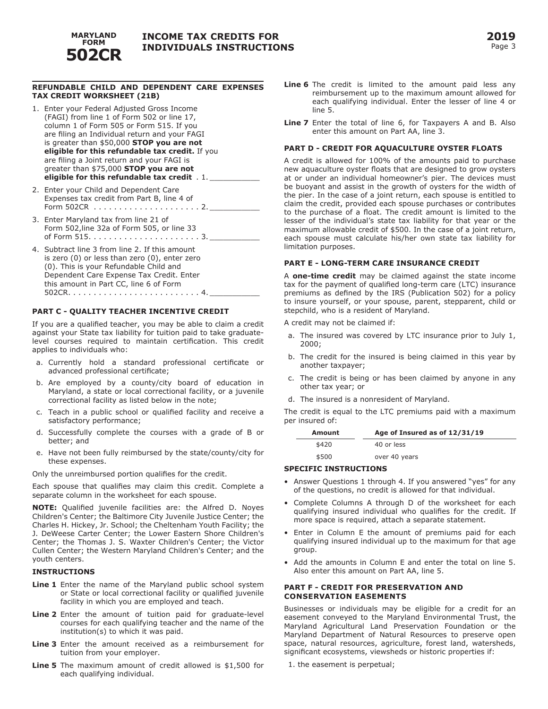

### **REFUNDABLE CHILD AND DEPENDENT CARE EXPENSES TAX CREDIT WORKSHEET (21B)**

- 1. Enter your Federal Adjusted Gross Income (FAGI) from line 1 of Form 502 or line 17, column 1 of Form 505 or Form 515. If you are filing an Individual return and your FAGI is greater than \$50,000 **STOP you are not eligible for this refundable tax credit.** If you are filing a Joint return and your FAGI is greater than \$75,000 **STOP you are not eligible for this refundable tax credit** . 1. \_\_\_\_\_\_\_\_\_\_\_
- 2. Enter your Child and Dependent Care Expenses tax credit from Part B, line 4 of Form 502CR . . . . . . . . . . . . . . . . . . . . . 2. \_\_\_\_\_\_\_\_\_\_\_
- 3. Enter Maryland tax from line 21 of Form 502,line 32a of Form 505, or line 33 of Form 515. . . . . . . . . . . . . . . . . . . . . . 3. \_\_\_\_\_\_\_\_\_\_\_
- 4. Subtract line 3 from line 2. If this amount is zero (0) or less than zero (0), enter zero (0). This is your Refundable Child and Dependent Care Expense Tax Credit. Enter this amount in Part CC, line 6 of Form 502CR. . . . . . . . . . . . . . . . . . . . . . . . . . 4. \_\_\_\_\_\_\_\_\_\_\_

#### **PART C - QUALITY TEACHER INCENTIVE CREDIT**

If you are a qualified teacher, you may be able to claim a credit against your State tax liability for tuition paid to take graduatelevel courses required to maintain certification. This credit applies to individuals who:

- a. Currently hold a standard professional certificate or advanced professional certificate;
- b. Are employed by a county/city board of education in Maryland, a state or local correctional facility, or a juvenile correctional facility as listed below in the note;
- c. Teach in a public school or qualified facility and receive a satisfactory performance;
- d. Successfully complete the courses with a grade of B or better; and
- e. Have not been fully reimbursed by the state/county/city for these expenses.

Only the unreimbursed portion qualifies for the credit.

Each spouse that qualifies may claim this credit. Complete a separate column in the worksheet for each spouse.

**NOTE:** Qualified juvenile facilities are: the Alfred D. Noyes Children's Center; the Baltimore City Juvenile Justice Center; the Charles H. Hickey, Jr. School; the Cheltenham Youth Facility; the J. DeWeese Carter Center; the Lower Eastern Shore Children's Center; the Thomas J. S. Waxter Children's Center; the Victor Cullen Center; the Western Maryland Children's Center; and the youth centers.

#### **INSTRUCTIONS**

- Line 1 Enter the name of the Maryland public school system or State or local correctional facility or qualified juvenile facility in which you are employed and teach.
- **Line 2** Enter the amount of tuition paid for graduate-level courses for each qualifying teacher and the name of the institution(s) to which it was paid.
- **Line 3** Enter the amount received as a reimbursement for tuition from your employer.
- **Line 5** The maximum amount of credit allowed is \$1,500 for each qualifying individual.
- **Line 6** The credit is limited to the amount paid less any reimbursement up to the maximum amount allowed for each qualifying individual. Enter the lesser of line 4 or line 5.
- **Line 7** Enter the total of line 6, for Taxpayers A and B. Also enter this amount on Part AA, line 3.

#### **PART D - CREDIT FOR AQUACULTURE OYSTER FLOATS**

A credit is allowed for 100% of the amounts paid to purchase new aquaculture oyster floats that are designed to grow oysters at or under an individual homeowner's pier. The devices must be buoyant and assist in the growth of oysters for the width of the pier. In the case of a joint return, each spouse is entitled to claim the credit, provided each spouse purchases or contributes to the purchase of a float. The credit amount is limited to the lesser of the individual's state tax liability for that year or the maximum allowable credit of \$500. In the case of a joint return, each spouse must calculate his/her own state tax liability for limitation purposes.

## **PART E - LONG-TERM CARE INSURANCE CREDIT**

A **one-time credit** may be claimed against the state income tax for the payment of qualified long-term care (LTC) insurance premiums as defined by the IRS (Publication 502) for a policy to insure yourself, or your spouse, parent, stepparent, child or stepchild, who is a resident of Maryland.

A credit may not be claimed if:

- a. The insured was covered by LTC insurance prior to July 1, 2000;
- b. The credit for the insured is being claimed in this year by another taxpayer;
- c. The credit is being or has been claimed by anyone in any other tax year; or
- d. The insured is a nonresident of Maryland.

The credit is equal to the LTC premiums paid with a maximum per insured of:

| Amount | Age of Insured as of 12/31/19 |  |  |
|--------|-------------------------------|--|--|
| \$420  | 40 or less                    |  |  |
| \$500  | over 40 years                 |  |  |

#### **SPECIFIC INSTRUCTIONS**

- Answer Questions 1 through 4. If you answered "yes" for any of the questions, no credit is allowed for that individual.
- Complete Columns A through D of the worksheet for each qualifying insured individual who qualifies for the credit. If more space is required, attach a separate statement.
- Enter in Column E the amount of premiums paid for each qualifying insured individual up to the maximum for that age group.
- Add the amounts in Column E and enter the total on line 5. Also enter this amount on Part AA, line 5.

#### **PART F - CREDIT FOR PRESERVATION AND CONSERVATION EASEMENTS**

Businesses or individuals may be eligible for a credit for an easement conveyed to the Maryland Environmental Trust, the Maryland Agricultural Land Preservation Foundation or the Maryland Department of Natural Resources to preserve open space, natural resources, agriculture, forest land, watersheds, significant ecosystems, viewsheds or historic properties if:

1. the easement is perpetual;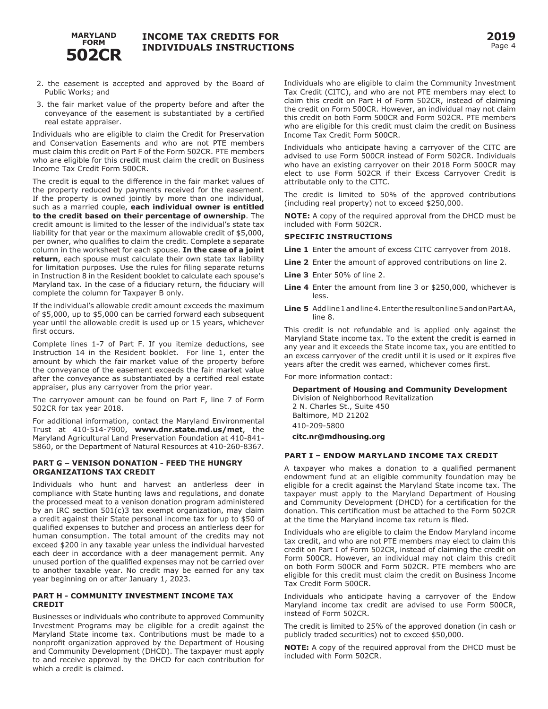

- 2. the easement is accepted and approved by the Board of Public Works; and
- 3. the fair market value of the property before and after the conveyance of the easement is substantiated by a certified real estate appraiser.

Individuals who are eligible to claim the Credit for Preservation and Conservation Easements and who are not PTE members must claim this credit on Part F of the Form 502CR. PTE members who are eligible for this credit must claim the credit on Business Income Tax Credit Form 500CR.

The credit is equal to the difference in the fair market values of the property reduced by payments received for the easement. If the property is owned jointly by more than one individual, such as a married couple, **each individual owner is entitled to the credit based on their percentage of ownership**. The credit amount is limited to the lesser of the individual's state tax liability for that year or the maximum allowable credit of \$5,000, per owner, who qualifies to claim the credit. Complete a separate column in the worksheet for each spouse. **In the case of a joint return**, each spouse must calculate their own state tax liability for limitation purposes. Use the rules for filing separate returns in Instruction 8 in the Resident booklet to calculate each spouse's Maryland tax. In the case of a fiduciary return, the fiduciary will complete the column for Taxpayer B only.

If the individual's allowable credit amount exceeds the maximum of \$5,000, up to \$5,000 can be carried forward each subsequent year until the allowable credit is used up or 15 years, whichever first occurs.

Complete lines 1-7 of Part F. If you itemize deductions, see Instruction 14 in the Resident booklet. For line 1, enter the amount by which the fair market value of the property before the conveyance of the easement exceeds the fair market value after the conveyance as substantiated by a certified real estate appraiser, plus any carryover from the prior year.

The carryover amount can be found on Part F, line 7 of Form 502CR for tax year 2018.

For additional information, contact the Maryland Environmental Trust at 410-514-7900, **<www.dnr.state.md.us/met>**, the Maryland Agricultural Land Preservation Foundation at 410-841- 5860, or the Department of Natural Resources at 410-260-8367.

### **PART G – VENISON DONATION - FEED THE HUNGRY ORGANIZATIONS TAX CREDIT**

Individuals who hunt and harvest an antlerless deer in compliance with State hunting laws and regulations, and donate the processed meat to a venison donation program administered by an IRC section 501(c)3 tax exempt organization, may claim a credit against their State personal income tax for up to \$50 of qualified expenses to butcher and process an antlerless deer for human consumption. The total amount of the credits may not exceed \$200 in any taxable year unless the individual harvested each deer in accordance with a deer management permit. Any unused portion of the qualified expenses may not be carried over to another taxable year. No credit may be earned for any tax year beginning on or after January 1, 2023.

### **PART H - COMMUNITY INVESTMENT INCOME TAX CREDIT**

Businesses or individuals who contribute to approved Community Investment Programs may be eligible for a credit against the Maryland State income tax. Contributions must be made to a nonprofit organization approved by the Department of Housing and Community Development (DHCD). The taxpayer must apply to and receive approval by the DHCD for each contribution for which a credit is claimed.

Individuals who are eligible to claim the Community Investment Tax Credit (CITC), and who are not PTE members may elect to claim this credit on Part H of Form 502CR, instead of claiming the credit on Form 500CR. However, an individual may not claim this credit on both Form 500CR and Form 502CR. PTE members who are eligible for this credit must claim the credit on Business Income Tax Credit Form 500CR.

Individuals who anticipate having a carryover of the CITC are advised to use Form 500CR instead of Form 502CR. Individuals who have an existing carryover on their 2018 Form 500CR may elect to use Form 502CR if their Excess Carryover Credit is attributable only to the CITC.

The credit is limited to 50% of the approved contributions (including real property) not to exceed \$250,000.

**NOTE:** A copy of the required approval from the DHCD must be included with Form 502CR.

## **SPECIFIC INSTRUCTIONS**

**Line 1** Enter the amount of excess CITC carryover from 2018.

- **Line 2** Enter the amount of approved contributions on line 2.
- **Line 3** Enter 50% of line 2.
- **Line 4** Enter the amount from line 3 or \$250,000, whichever is less.
- **Line 5** Add line 1 and line 4. Enter the result on line 5 and on Part AA, line 8.

This credit is not refundable and is applied only against the Maryland State income tax. To the extent the credit is earned in any year and it exceeds the State income tax, you are entitled to an excess carryover of the credit until it is used or it expires five years after the credit was earned, whichever comes first.

For more information contact:

**Department of Housing and Community Development** 

Division of Neighborhood Revitalization 2 N. Charles St., Suite 450 Baltimore, MD 21202 410-209-5800 **[citc.nr@mdhousing.org](mailto:citc.nr@mdhousing.org)** 

## **PART I – ENDOW MARYLAND INCOME TAX CREDIT**

A taxpayer who makes a donation to a qualified permanent endowment fund at an eligible community foundation may be eligible for a credit against the Maryland State income tax. The taxpayer must apply to the Maryland Department of Housing and Community Development (DHCD) for a certification for the donation. This certification must be attached to the Form 502CR at the time the Maryland income tax return is filed.

Individuals who are eligible to claim the Endow Maryland income tax credit, and who are not PTE members may elect to claim this credit on Part I of Form 502CR, instead of claiming the credit on Form 500CR. However, an individual may not claim this credit on both Form 500CR and Form 502CR. PTE members who are eligible for this credit must claim the credit on Business Income Tax Credit Form 500CR.

Individuals who anticipate having a carryover of the Endow Maryland income tax credit are advised to use Form 500CR, instead of Form 502CR.

The credit is limited to 25% of the approved donation (in cash or publicly traded securities) not to exceed \$50,000.

**NOTE:** A copy of the required approval from the DHCD must be included with Form 502CR.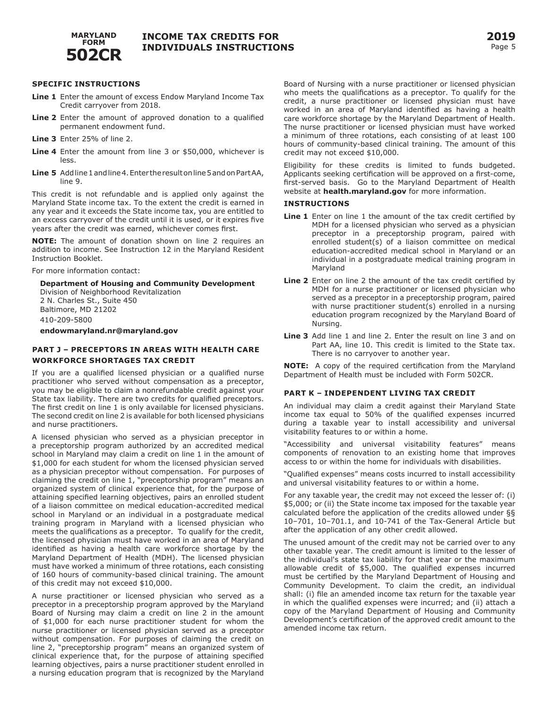

### **SPECIFIC INSTRUCTIONS**

- **Line 1** Enter the amount of excess Endow Maryland Income Tax Credit carryover from 2018.
- **Line 2** Enter the amount of approved donation to a qualified permanent endowment fund.
- **Line 3** Enter 25% of line 2.
- **Line 4** Enter the amount from line 3 or \$50,000, whichever is less.
- **Line 5** Add line 1 and line 4. Enter the result on line 5 and on Part AA, line 9.

This credit is not refundable and is applied only against the Maryland State income tax. To the extent the credit is earned in any year and it exceeds the State income tax, you are entitled to an excess carryover of the credit until it is used, or it expires five years after the credit was earned, whichever comes first.

**NOTE:** The amount of donation shown on line 2 requires an addition to income. See Instruction 12 in the Maryland Resident Instruction Booklet.

For more information contact:

**Department of Housing and Community Development** 

Division of Neighborhood Revitalization 2 N. Charles St., Suite 450 Baltimore, MD 21202 410-209-5800

**[endowmaryland.nr@maryland.gov](mailto:endowmaryland.nr@maryland.gov)** 

### **PART J – PRECEPTORS IN AREAS WITH HEALTH CARE WORKFORCE SHORTAGES TAX CREDIT**

If you are a qualified licensed physician or a qualified nurse practitioner who served without compensation as a preceptor, you may be eligible to claim a nonrefundable credit against your State tax liability. There are two credits for qualified preceptors. The first credit on line 1 is only available for licensed physicians. The second credit on line 2 is available for both licensed physicians and nurse practitioners.

A licensed physician who served as a physician preceptor in a preceptorship program authorized by an accredited medical school in Maryland may claim a credit on line 1 in the amount of \$1,000 for each student for whom the licensed physician served as a physician preceptor without compensation. For purposes of claiming the credit on line 1, "preceptorship program" means an organized system of clinical experience that, for the purpose of attaining specified learning objectives, pairs an enrolled student of a liaison committee on medical education-accredited medical school in Maryland or an individual in a postgraduate medical training program in Maryland with a licensed physician who meets the qualifications as a preceptor. To qualify for the credit, the licensed physician must have worked in an area of Maryland identified as having a health care workforce shortage by the Maryland Department of Health (MDH). The licensed physician must have worked a minimum of three rotations, each consisting of 160 hours of community-based clinical training. The amount of this credit may not exceed \$10,000.

A nurse practitioner or licensed physician who served as a preceptor in a preceptorship program approved by the Maryland Board of Nursing may claim a credit on line 2 in the amount of \$1,000 for each nurse practitioner student for whom the nurse practitioner or licensed physician served as a preceptor without compensation. For purposes of claiming the credit on line 2, "preceptorship program" means an organized system of clinical experience that, for the purpose of attaining specified learning objectives, pairs a nurse practitioner student enrolled in a nursing education program that is recognized by the Maryland

Board of Nursing with a nurse practitioner or licensed physician who meets the qualifications as a preceptor. To qualify for the credit, a nurse practitioner or licensed physician must have worked in an area of Maryland identified as having a health care workforce shortage by the Maryland Department of Health. The nurse practitioner or licensed physician must have worked a minimum of three rotations, each consisting of at least 100 hours of community-based clinical training. The amount of this credit may not exceed \$10,000.

Eligibility for these credits is limited to funds budgeted. Applicants seeking certification will be approved on a first-come, first-served basis. Go to the Maryland Department of Health website at **[health.maryland.gov](https://health.maryland.gov)** for more information.

#### **INSTRUCTIONS**

- Line 1 Enter on line 1 the amount of the tax credit certified by MDH for a licensed physician who served as a physician preceptor in a preceptorship program, paired with enrolled student(s) of a liaison committee on medical education-accredited medical school in Maryland or an individual in a postgraduate medical training program in Maryland
- **Line 2** Enter on line 2 the amount of the tax credit certified by MDH for a nurse practitioner or licensed physician who served as a preceptor in a preceptorship program, paired with nurse practitioner student(s) enrolled in a nursing education program recognized by the Maryland Board of Nursing.
- **Line 3** Add line 1 and line 2. Enter the result on line 3 and on Part AA, line 10. This credit is limited to the State tax. There is no carryover to another year.

 **NOTE:** A copy of the required certification from the Maryland Department of Health must be included with Form 502CR.

#### **PART K – INDEPENDENT LIVING TAX CREDIT**

An individual may claim a credit against their Maryland State income tax equal to 50% of the qualified expenses incurred during a taxable year to install accessibility and universal visitability features to or within a home.

"Accessibility and universal visitability features" means components of renovation to an existing home that improves access to or within the home for individuals with disabilities.

"Qualified expenses" means costs incurred to install accessibility and universal visitability features to or within a home.

For any taxable year, the credit may not exceed the lesser of: (i) \$5,000; or (ii) the State income tax imposed for the taxable year calculated before the application of the credits allowed under §§ 10–701, 10–701.1, and 10-741 of the Tax-General Article but after the application of any other credit allowed.

The unused amount of the credit may not be carried over to any other taxable year. The credit amount is limited to the lesser of the individual's state tax liability for that year or the maximum allowable credit of \$5,000. The qualified expenses incurred must be certified by the Maryland Department of Housing and Community Development. To claim the credit, an individual shall: (i) file an amended income tax return for the taxable year in which the qualified expenses were incurred; and (ii) attach a copy of the Maryland Department of Housing and Community Development's certification of the approved credit amount to the amended income tax return.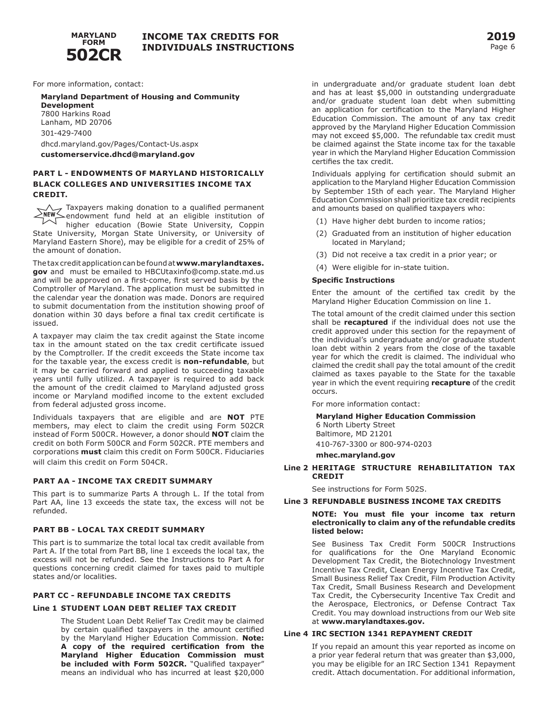

For more information, contact:

### **Maryland Department of Housing and Community Development**  7800 Harkins Road Lanham, MD 20706 301-429-7400 [dhcd.maryland.gov/Pages/Contact-Us.aspx](https://dhcd.maryland.gov/Pages/Contact-Us.aspx)

**[customerservice.dhcd@maryland.gov](mailto:customerservice.dhcd@maryland.gov)** 

### **PART L - ENDOWMENTS OF MARYLAND HISTORICALLY BLACK COLLEGES AND UNIVERSITIES INCOME TAX CREDIT.**

Taxpayers making donation to a qualified permanent endowment fund held at an eligible institution of  $\triangledown$ higher education (Bowie State University, Coppin State University, Morgan State University, or University of Maryland Eastern Shore), may be eligible for a credit of 25% of the amount of donation.

The tax credit application can be found at**<www.marylandtaxes>. gov** and must be emailed to [HBCUtaxinfo@comp.state.md.us](mailto:HBCUtaxinfo@comp.state.md.us) and will be approved on a first-come, first served basis by the Comptroller of Maryland. The application must be submitted in the calendar year the donation was made. Donors are required to submit documentation from the institution showing proof of donation within 30 days before a final tax credit certificate is issued.

A taxpayer may claim the tax credit against the State income tax in the amount stated on the tax credit certificate issued by the Comptroller. If the credit exceeds the State income tax for the taxable year, the excess credit is **non-refundable**, but it may be carried forward and applied to succeeding taxable years until fully utilized. A taxpayer is required to add back the amount of the credit claimed to Maryland adjusted gross income or Maryland modified income to the extent excluded from federal adjusted gross income.

Individuals taxpayers that are eligible and are **NOT** PTE members, may elect to claim the credit using Form 502CR instead of Form 500CR. However, a donor should **NOT** claim the credit on both Form 500CR and Form 502CR. PTE members and corporations **must** claim this credit on Form 500CR. Fiduciaries will claim this credit on Form 504CR.

### **PART AA - INCOME TAX CREDIT SUMMARY**

This part is to summarize Parts A through L. If the total from Part AA, line 13 exceeds the state tax, the excess will not be refunded.

#### **PART BB - LOCAL TAX CREDIT SUMMARY**

This part is to summarize the total local tax credit available from Part A. If the total from Part BB, line 1 exceeds the local tax, the excess will not be refunded. See the Instructions to Part A for questions concerning credit claimed for taxes paid to multiple states and/or localities.

#### **PART CC - REFUNDABLE INCOME TAX CREDITS**

#### **Line 1 STUDENT LOAN DEBT RELIEF TAX CREDIT**

The Student Loan Debt Relief Tax Credit may be claimed by certain qualified taxpayers in the amount certified by the Maryland Higher Education Commission. **Note: A copy of the required certification from the Maryland Higher Education Commission must**  be included with Form 502CR. "Qualified taxpayer" means an individual who has incurred at least \$20,000

in undergraduate and/or graduate student loan debt and has at least \$5,000 in outstanding undergraduate and/or graduate student loan debt when submitting an application for certification to the Maryland Higher Education Commission. The amount of any tax credit approved by the Maryland Higher Education Commission may not exceed \$5,000. The refundable tax credit must be claimed against the State income tax for the taxable year in which the Maryland Higher Education Commission certifies the tax credit.

Individuals applying for certification should submit an application to the Maryland Higher Education Commission by September 15th of each year. The Maryland Higher Education Commission shall prioritize tax credit recipients and amounts based on qualified taxpayers who:

- (1) Have higher debt burden to income ratios;
- (2) Graduated from an institution of higher education located in Maryland;
- (3) Did not receive a tax credit in a prior year; or
- (4) Were eligible for in-state tuition.

#### **Specific Instructions**

Enter the amount of the certified tax credit by the Maryland Higher Education Commission on line 1.

The total amount of the credit claimed under this section shall be **recaptured** if the individual does not use the credit approved under this section for the repayment of the individual's undergraduate and/or graduate student loan debt within 2 years from the close of the taxable year for which the credit is claimed. The individual who claimed the credit shall pay the total amount of the credit claimed as taxes payable to the State for the taxable year in which the event requiring **recapture** of the credit occurs.

For more information contact:

#### **Maryland Higher Education Commission**

6 North Liberty Street Baltimore, MD 21201 410-767-3300 or 800-974-0203

**[mhec.maryland.gov](https://mhec.maryland.gov)** 

**Line 2 HERITAGE STRUCTURE REHABILITATION TAX CREDIT** 

See instructions for Form 502S.

#### **Line 3 REFUNDABLE BUSINESS INCOME TAX CREDITS**

#### **NOTE: You must file your income tax return electronically to claim any of the refundable credits listed below:**

See Business Tax Credit Form 500CR Instructions for qualifications for the One Maryland Economic Development Tax Credit, the Biotechnology Investment Incentive Tax Credit, Clean Energy Incentive Tax Credit, Small Business Relief Tax Credit, Film Production Activity Tax Credit, Small Business Research and Development Tax Credit, the Cybersecurity Incentive Tax Credit and the Aerospace, Electronics, or Defense Contract Tax Credit. You may download instructions from our Web site at **[www.marylandtaxes.gov.](www.marylandtaxes.gov)** 

#### **Line 4 IRC SECTION 1341 REPAYMENT CREDIT**

If you repaid an amount this year reported as income on a prior year federal return that was greater than \$3,000, you may be eligible for an IRC Section 1341 Repayment credit. Attach documentation. For additional information,